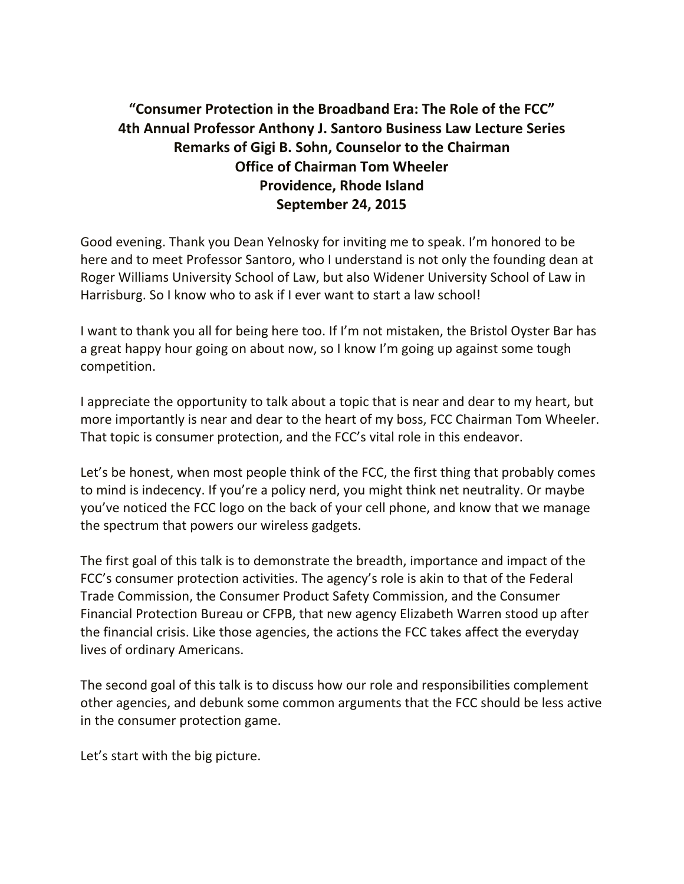# **"Consumer Protection in the Broadband Era: The Role of the FCC" 4th Annual Professor Anthony J. Santoro Business Law Lecture Series Remarks of Gigi B. Sohn, Counselor to the Chairman Office of Chairman Tom Wheeler Providence, Rhode Island September 24, 2015**

Good evening. Thank you Dean Yelnosky for inviting me to speak. I'm honored to be here and to meet Professor Santoro, who I understand is not only the founding dean at Roger Williams University School of Law, but also Widener University School of Law in Harrisburg. So I know who to ask if I ever want to start a law school!

I want to thank you all for being here too. If I'm not mistaken, the Bristol Oyster Bar has a great happy hour going on about now, so I know I'm going up against some tough competition.

I appreciate the opportunity to talk about a topic that is near and dear to my heart, but more importantly is near and dear to the heart of my boss, FCC Chairman Tom Wheeler. That topic is consumer protection, and the FCC's vital role in this endeavor.

Let's be honest, when most people think of the FCC, the first thing that probably comes to mind is indecency. If you're a policy nerd, you might think net neutrality. Or maybe you've noticed the FCC logo on the back of your cell phone, and know that we manage the spectrum that powers our wireless gadgets.

The first goal of this talk is to demonstrate the breadth, importance and impact of the FCC's consumer protection activities. The agency's role is akin to that of the Federal Trade Commission, the Consumer Product Safety Commission, and the Consumer Financial Protection Bureau or CFPB, that new agency Elizabeth Warren stood up after the financial crisis. Like those agencies, the actions the FCC takes affect the everyday lives of ordinary Americans.

The second goal of this talk is to discuss how our role and responsibilities complement other agencies, and debunk some common arguments that the FCC should be less active in the consumer protection game.

Let's start with the big picture.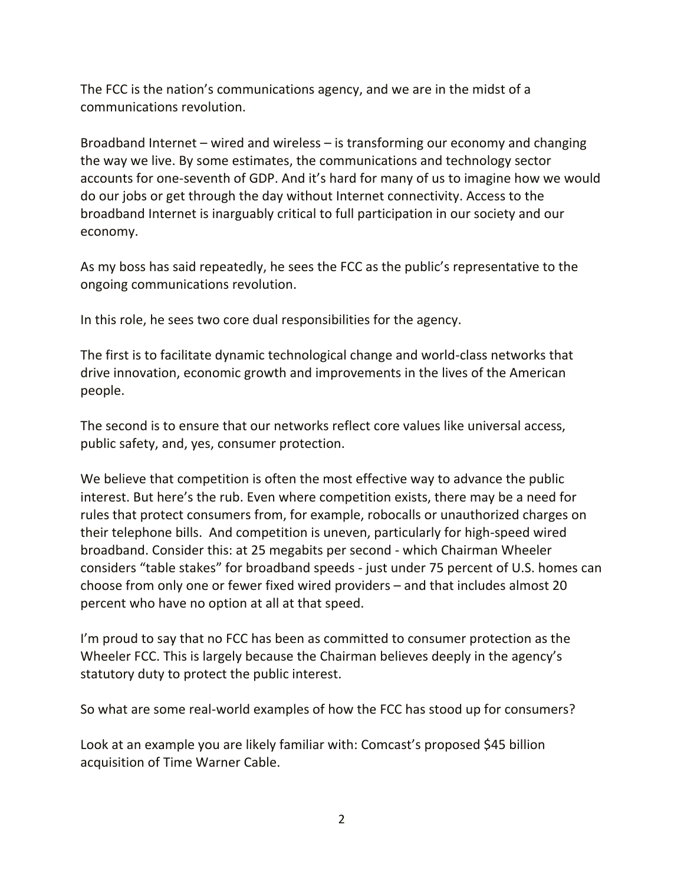The FCC is the nation's communications agency, and we are in the midst of a communications revolution.

Broadband Internet – wired and wireless – is transforming our economy and changing the way we live. By some estimates, the communications and technology sector accounts for one-seventh of GDP. And it's hard for many of us to imagine how we would do our jobs or get through the day without Internet connectivity. Access to the broadband Internet is inarguably critical to full participation in our society and our economy.

As my boss has said repeatedly, he sees the FCC as the public's representative to the ongoing communications revolution.

In this role, he sees two core dual responsibilities for the agency.

The first is to facilitate dynamic technological change and world-class networks that drive innovation, economic growth and improvements in the lives of the American people.

The second is to ensure that our networks reflect core values like universal access, public safety, and, yes, consumer protection.

We believe that competition is often the most effective way to advance the public interest. But here's the rub. Even where competition exists, there may be a need for rules that protect consumers from, for example, robocalls or unauthorized charges on their telephone bills. And competition is uneven, particularly for high-speed wired broadband. Consider this: at 25 megabits per second - which Chairman Wheeler considers "table stakes" for broadband speeds - just under 75 percent of U.S. homes can choose from only one or fewer fixed wired providers – and that includes almost 20 percent who have no option at all at that speed.

I'm proud to say that no FCC has been as committed to consumer protection as the Wheeler FCC. This is largely because the Chairman believes deeply in the agency's statutory duty to protect the public interest.

So what are some real-world examples of how the FCC has stood up for consumers?

Look at an example you are likely familiar with: Comcast's proposed \$45 billion acquisition of Time Warner Cable.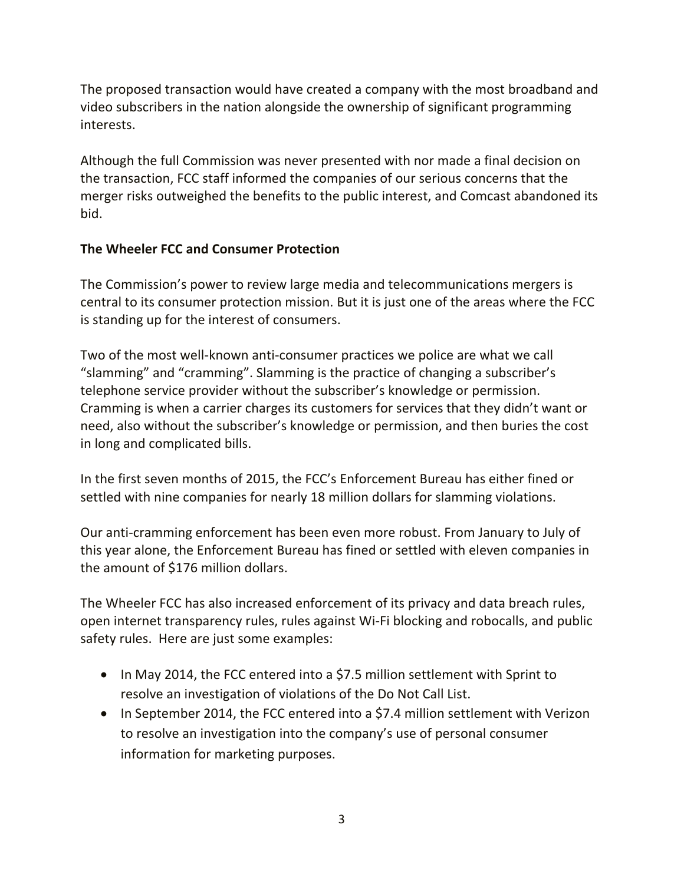The proposed transaction would have created a company with the most broadband and video subscribers in the nation alongside the ownership of significant programming interests.

Although the full Commission was never presented with nor made a final decision on the transaction, FCC staff informed the companies of our serious concerns that the merger risks outweighed the benefits to the public interest, and Comcast abandoned its bid.

## **The Wheeler FCC and Consumer Protection**

The Commission's power to review large media and telecommunications mergers is central to its consumer protection mission. But it is just one of the areas where the FCC is standing up for the interest of consumers.

Two of the most well-known anti-consumer practices we police are what we call "slamming" and "cramming". Slamming is the practice of changing a subscriber's telephone service provider without the subscriber's knowledge or permission. Cramming is when a carrier charges its customers for services that they didn't want or need, also without the subscriber's knowledge or permission, and then buries the cost in long and complicated bills.

In the first seven months of 2015, the FCC's Enforcement Bureau has either fined or settled with nine companies for nearly 18 million dollars for slamming violations.

Our anti-cramming enforcement has been even more robust. From January to July of this year alone, the Enforcement Bureau has fined or settled with eleven companies in the amount of \$176 million dollars.

The Wheeler FCC has also increased enforcement of its privacy and data breach rules, open internet transparency rules, rules against Wi-Fi blocking and robocalls, and public safety rules. Here are just some examples:

- In May 2014, the FCC entered into a \$7.5 million settlement with Sprint to resolve an investigation of violations of the Do Not Call List.
- In September 2014, the FCC entered into a \$7.4 million settlement with Verizon to resolve an investigation into the company's use of personal consumer information for marketing purposes.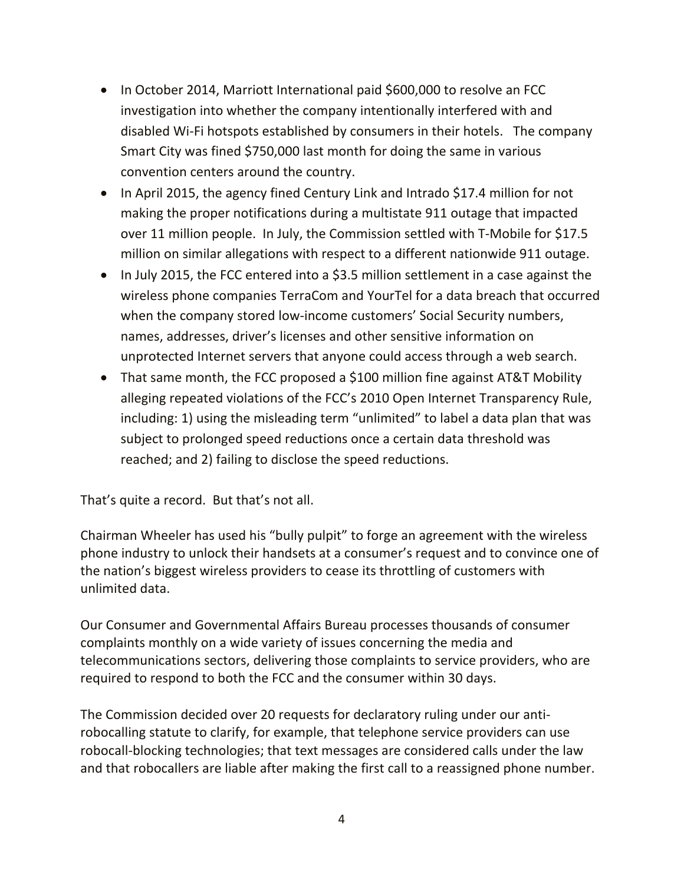- In October 2014, Marriott International paid \$600,000 to resolve an FCC investigation into whether the company intentionally interfered with and disabled Wi-Fi hotspots established by consumers in their hotels. The company Smart City was fined \$750,000 last month for doing the same in various convention centers around the country.
- In April 2015, the agency fined Century Link and Intrado \$17.4 million for not making the proper notifications during a multistate 911 outage that impacted over 11 million people. In July, the Commission settled with T-Mobile for \$17.5 million on similar allegations with respect to a different nationwide 911 outage.
- In July 2015, the FCC entered into a \$3.5 million settlement in a case against the wireless phone companies TerraCom and YourTel for a data breach that occurred when the company stored low-income customers' Social Security numbers, names, addresses, driver's licenses and other sensitive information on unprotected Internet servers that anyone could access through a web search.
- That same month, the FCC proposed a \$100 million fine against AT&T Mobility alleging repeated violations of the FCC's 2010 Open Internet Transparency Rule, including: 1) using the misleading term "unlimited" to label a data plan that was subject to prolonged speed reductions once a certain data threshold was reached; and 2) failing to disclose the speed reductions.

That's quite a record. But that's not all.

Chairman Wheeler has used his "bully pulpit" to forge an agreement with the wireless phone industry to unlock their handsets at a consumer's request and to convince one of the nation's biggest wireless providers to cease its throttling of customers with unlimited data.

Our Consumer and Governmental Affairs Bureau processes thousands of consumer complaints monthly on a wide variety of issues concerning the media and telecommunications sectors, delivering those complaints to service providers, who are required to respond to both the FCC and the consumer within 30 days.

The Commission decided over 20 requests for declaratory ruling under our antirobocalling statute to clarify, for example, that telephone service providers can use robocall-blocking technologies; that text messages are considered calls under the law and that robocallers are liable after making the first call to a reassigned phone number.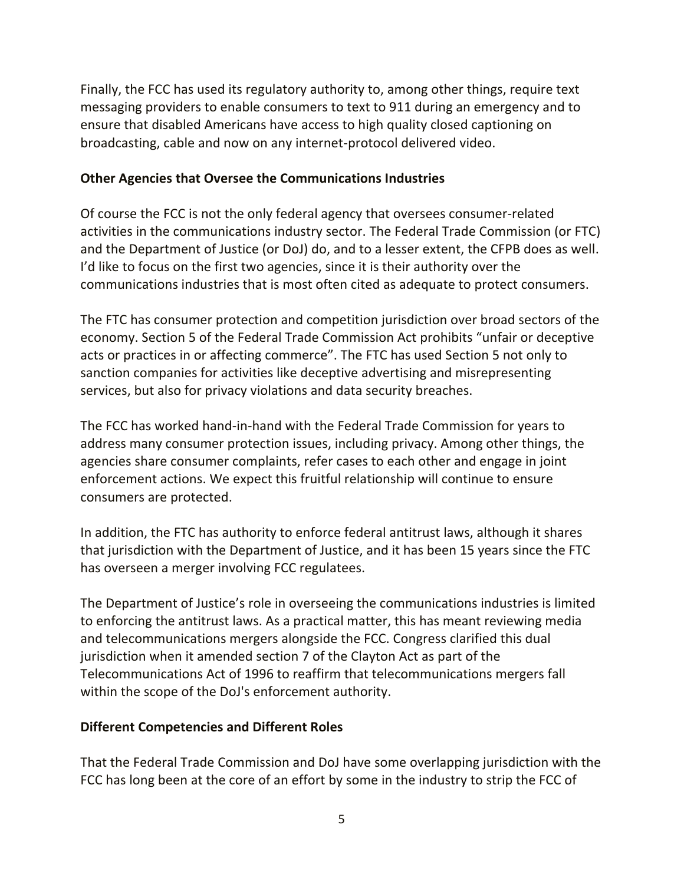Finally, the FCC has used its regulatory authority to, among other things, require text messaging providers to enable consumers to text to 911 during an emergency and to ensure that disabled Americans have access to high quality closed captioning on broadcasting, cable and now on any internet-protocol delivered video.

#### **Other Agencies that Oversee the Communications Industries**

Of course the FCC is not the only federal agency that oversees consumer-related activities in the communications industry sector. The Federal Trade Commission (or FTC) and the Department of Justice (or DoJ) do, and to a lesser extent, the CFPB does as well. I'd like to focus on the first two agencies, since it is their authority over the communications industries that is most often cited as adequate to protect consumers.

The FTC has consumer protection and competition jurisdiction over broad sectors of the economy. Section 5 of the Federal Trade Commission Act prohibits "unfair or deceptive acts or practices in or affecting commerce". The FTC has used Section 5 not only to sanction companies for activities like deceptive advertising and misrepresenting services, but also for privacy violations and data security breaches.

The FCC has worked hand-in-hand with the Federal Trade Commission for years to address many consumer protection issues, including privacy. Among other things, the agencies share consumer complaints, refer cases to each other and engage in joint enforcement actions. We expect this fruitful relationship will continue to ensure consumers are protected.

In addition, the FTC has authority to enforce federal antitrust laws, although it shares that jurisdiction with the Department of Justice, and it has been 15 years since the FTC has overseen a merger involving FCC regulatees.

The Department of Justice's role in overseeing the communications industries is limited to enforcing the antitrust laws. As a practical matter, this has meant reviewing media and telecommunications mergers alongside the FCC. Congress clarified this dual jurisdiction when it amended section 7 of the Clayton Act as part of the Telecommunications Act of 1996 to reaffirm that telecommunications mergers fall within the scope of the DoJ's enforcement authority.

## **Different Competencies and Different Roles**

That the Federal Trade Commission and DoJ have some overlapping jurisdiction with the FCC has long been at the core of an effort by some in the industry to strip the FCC of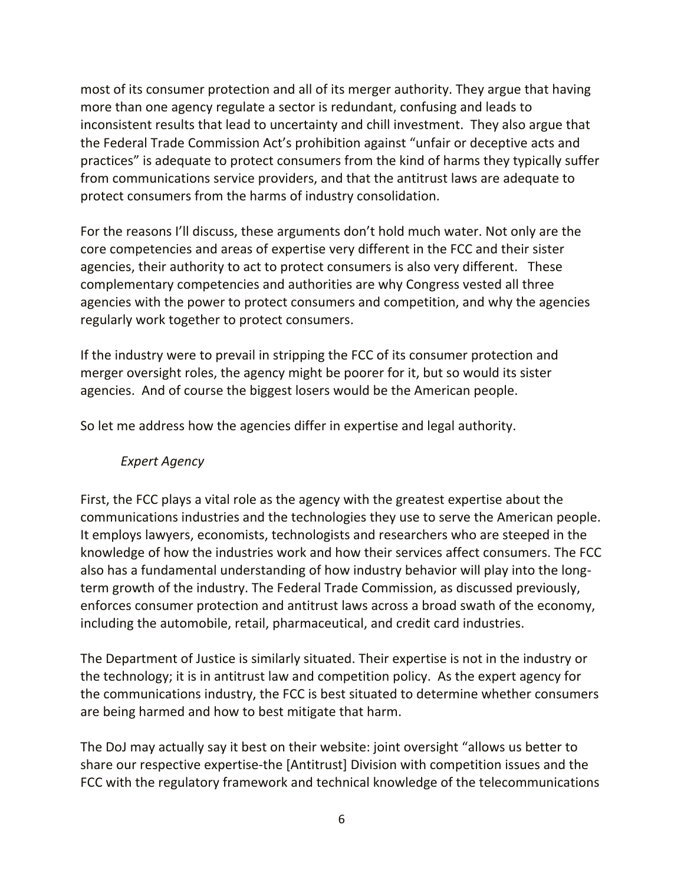most of its consumer protection and all of its merger authority. They argue that having more than one agency regulate a sector is redundant, confusing and leads to inconsistent results that lead to uncertainty and chill investment. They also argue that the Federal Trade Commission Act's prohibition against "unfair or deceptive acts and practices" is adequate to protect consumers from the kind of harms they typically suffer from communications service providers, and that the antitrust laws are adequate to protect consumers from the harms of industry consolidation.

For the reasons I'll discuss, these arguments don't hold much water. Not only are the core competencies and areas of expertise very different in the FCC and their sister agencies, their authority to act to protect consumers is also very different. These complementary competencies and authorities are why Congress vested all three agencies with the power to protect consumers and competition, and why the agencies regularly work together to protect consumers.

If the industry were to prevail in stripping the FCC of its consumer protection and merger oversight roles, the agency might be poorer for it, but so would its sister agencies. And of course the biggest losers would be the American people.

So let me address how the agencies differ in expertise and legal authority.

## *Expert Agency*

First, the FCC plays a vital role as the agency with the greatest expertise about the communications industries and the technologies they use to serve the American people. It employs lawyers, economists, technologists and researchers who are steeped in the knowledge of how the industries work and how their services affect consumers. The FCC also has a fundamental understanding of how industry behavior will play into the longterm growth of the industry. The Federal Trade Commission, as discussed previously, enforces consumer protection and antitrust laws across a broad swath of the economy, including the automobile, retail, pharmaceutical, and credit card industries.

The Department of Justice is similarly situated. Their expertise is not in the industry or the technology; it is in antitrust law and competition policy. As the expert agency for the communications industry, the FCC is best situated to determine whether consumers are being harmed and how to best mitigate that harm.

The DoJ may actually say it best on their website: joint oversight "allows us better to share our respective expertise-the [Antitrust] Division with competition issues and the FCC with the regulatory framework and technical knowledge of the telecommunications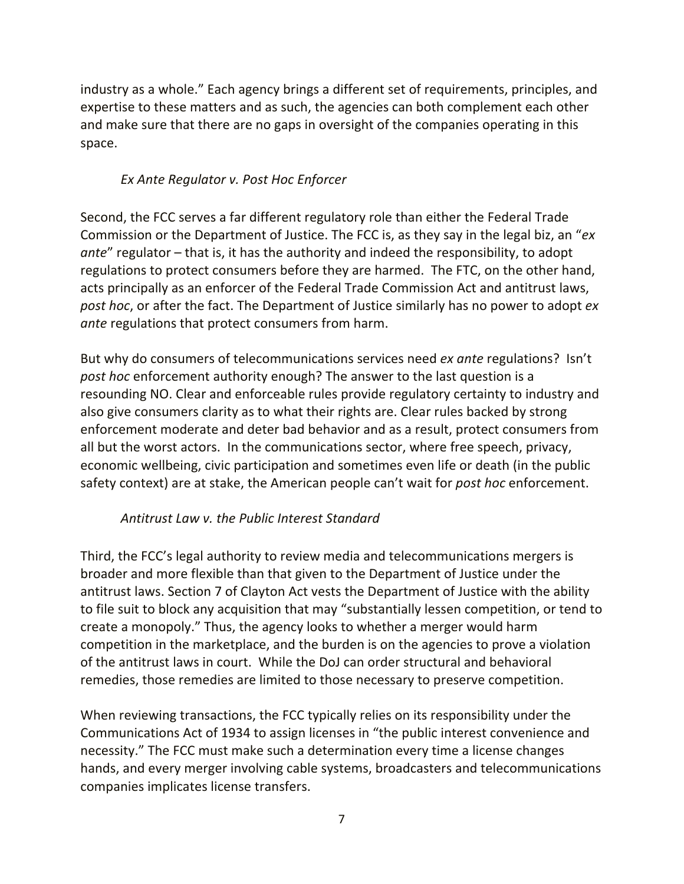industry as a whole." Each agency brings a different set of requirements, principles, and expertise to these matters and as such, the agencies can both complement each other and make sure that there are no gaps in oversight of the companies operating in this space.

## *Ex Ante Regulator v. Post Hoc Enforcer*

Second, the FCC serves a far different regulatory role than either the Federal Trade Commission or the Department of Justice. The FCC is, as they say in the legal biz, an "*ex ante*" regulator – that is, it has the authority and indeed the responsibility, to adopt regulations to protect consumers before they are harmed. The FTC, on the other hand, acts principally as an enforcer of the Federal Trade Commission Act and antitrust laws, *post hoc*, or after the fact. The Department of Justice similarly has no power to adopt *ex ante* regulations that protect consumers from harm.

But why do consumers of telecommunications services need *ex ante* regulations? Isn't *post hoc* enforcement authority enough? The answer to the last question is a resounding NO. Clear and enforceable rules provide regulatory certainty to industry and also give consumers clarity as to what their rights are. Clear rules backed by strong enforcement moderate and deter bad behavior and as a result, protect consumers from all but the worst actors. In the communications sector, where free speech, privacy, economic wellbeing, civic participation and sometimes even life or death (in the public safety context) are at stake, the American people can't wait for *post hoc* enforcement.

## *Antitrust Law v. the Public Interest Standard*

Third, the FCC's legal authority to review media and telecommunications mergers is broader and more flexible than that given to the Department of Justice under the antitrust laws. Section 7 of Clayton Act vests the Department of Justice with the ability to file suit to block any acquisition that may "substantially lessen competition, or tend to create a monopoly." Thus, the agency looks to whether a merger would harm competition in the marketplace, and the burden is on the agencies to prove a violation of the antitrust laws in court. While the DoJ can order structural and behavioral remedies, those remedies are limited to those necessary to preserve competition.

When reviewing transactions, the FCC typically relies on its responsibility under the Communications Act of 1934 to assign licenses in "the public interest convenience and necessity." The FCC must make such a determination every time a license changes hands, and every merger involving cable systems, broadcasters and telecommunications companies implicates license transfers.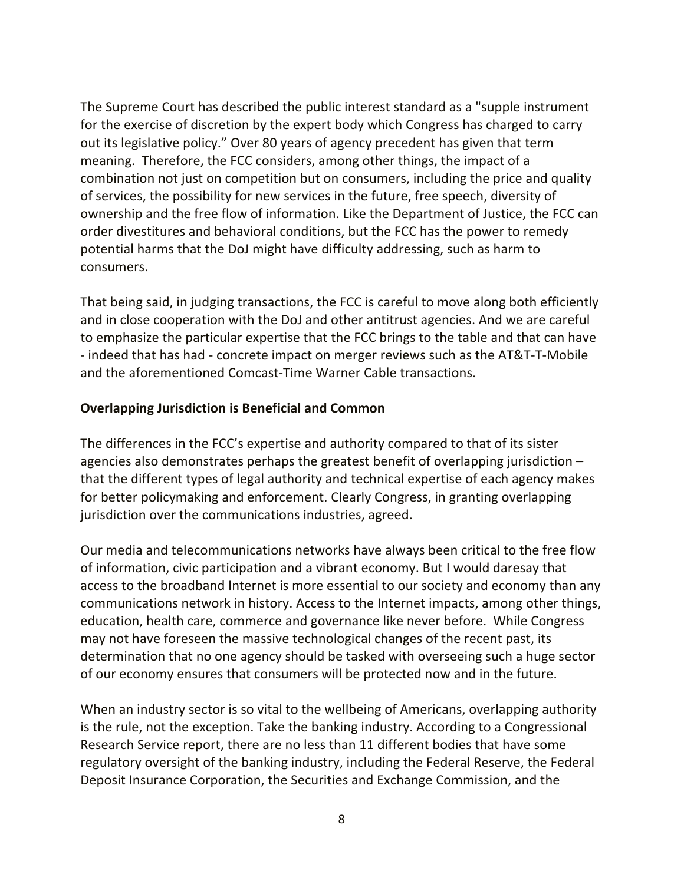The Supreme Court has described the public interest standard as a "supple instrument for the exercise of discretion by the expert body which Congress has charged to carry out its legislative policy." Over 80 years of agency precedent has given that term meaning. Therefore, the FCC considers, among other things, the impact of a combination not just on competition but on consumers, including the price and quality of services, the possibility for new services in the future, free speech, diversity of ownership and the free flow of information. Like the Department of Justice, the FCC can order divestitures and behavioral conditions, but the FCC has the power to remedy potential harms that the DoJ might have difficulty addressing, such as harm to consumers.

That being said, in judging transactions, the FCC is careful to move along both efficiently and in close cooperation with the DoJ and other antitrust agencies. And we are careful to emphasize the particular expertise that the FCC brings to the table and that can have - indeed that has had - concrete impact on merger reviews such as the AT&T-T-Mobile and the aforementioned Comcast-Time Warner Cable transactions.

#### **Overlapping Jurisdiction is Beneficial and Common**

The differences in the FCC's expertise and authority compared to that of its sister agencies also demonstrates perhaps the greatest benefit of overlapping jurisdiction – that the different types of legal authority and technical expertise of each agency makes for better policymaking and enforcement. Clearly Congress, in granting overlapping jurisdiction over the communications industries, agreed.

Our media and telecommunications networks have always been critical to the free flow of information, civic participation and a vibrant economy. But I would daresay that access to the broadband Internet is more essential to our society and economy than any communications network in history. Access to the Internet impacts, among other things, education, health care, commerce and governance like never before. While Congress may not have foreseen the massive technological changes of the recent past, its determination that no one agency should be tasked with overseeing such a huge sector of our economy ensures that consumers will be protected now and in the future.

When an industry sector is so vital to the wellbeing of Americans, overlapping authority is the rule, not the exception. Take the banking industry. According to a Congressional Research Service report, there are no less than 11 different bodies that have some regulatory oversight of the banking industry, including the Federal Reserve, the Federal Deposit Insurance Corporation, the Securities and Exchange Commission, and the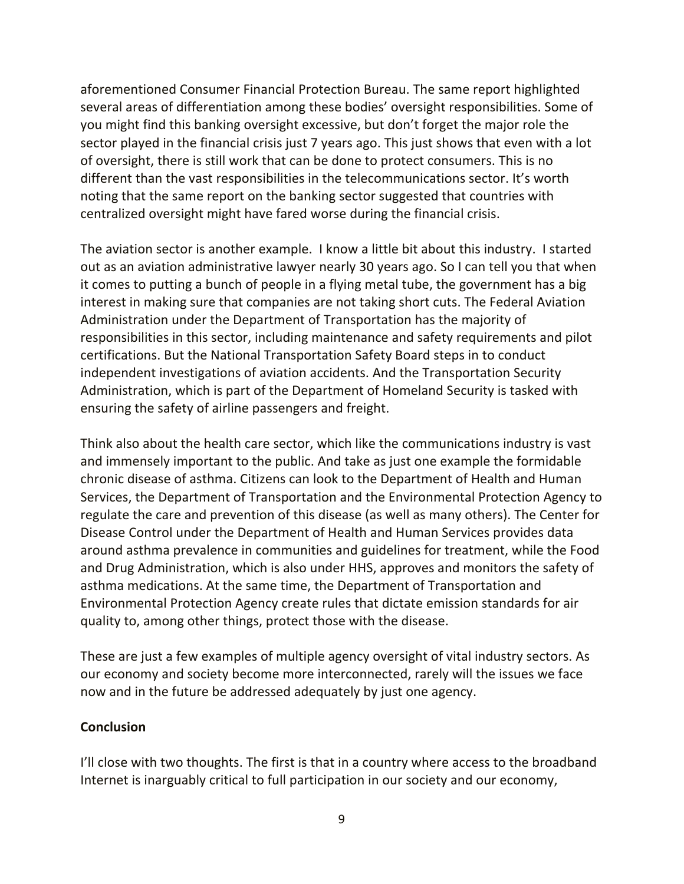aforementioned Consumer Financial Protection Bureau. The same report highlighted several areas of differentiation among these bodies' oversight responsibilities. Some of you might find this banking oversight excessive, but don't forget the major role the sector played in the financial crisis just 7 years ago. This just shows that even with a lot of oversight, there is still work that can be done to protect consumers. This is no different than the vast responsibilities in the telecommunications sector. It's worth noting that the same report on the banking sector suggested that countries with centralized oversight might have fared worse during the financial crisis.

The aviation sector is another example. I know a little bit about this industry. I started out as an aviation administrative lawyer nearly 30 years ago. So I can tell you that when it comes to putting a bunch of people in a flying metal tube, the government has a big interest in making sure that companies are not taking short cuts. The Federal Aviation Administration under the Department of Transportation has the majority of responsibilities in this sector, including maintenance and safety requirements and pilot certifications. But the National Transportation Safety Board steps in to conduct independent investigations of aviation accidents. And the Transportation Security Administration, which is part of the Department of Homeland Security is tasked with ensuring the safety of airline passengers and freight.

Think also about the health care sector, which like the communications industry is vast and immensely important to the public. And take as just one example the formidable chronic disease of asthma. Citizens can look to the Department of Health and Human Services, the Department of Transportation and the Environmental Protection Agency to regulate the care and prevention of this disease (as well as many others). The Center for Disease Control under the Department of Health and Human Services provides data around asthma prevalence in communities and guidelines for treatment, while the Food and Drug Administration, which is also under HHS, approves and monitors the safety of asthma medications. At the same time, the Department of Transportation and Environmental Protection Agency create rules that dictate emission standards for air quality to, among other things, protect those with the disease.

These are just a few examples of multiple agency oversight of vital industry sectors. As our economy and society become more interconnected, rarely will the issues we face now and in the future be addressed adequately by just one agency.

#### **Conclusion**

I'll close with two thoughts. The first is that in a country where access to the broadband Internet is inarguably critical to full participation in our society and our economy,